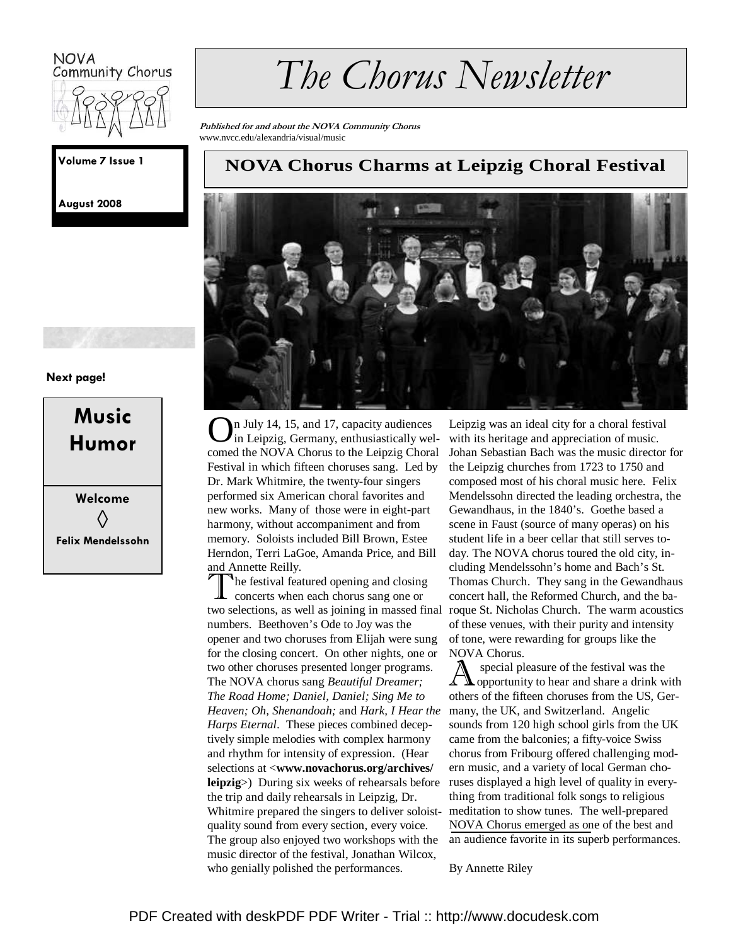

# The Chorus Newsletter

Published for and about the NOVA Community Chorus www.nvcc.edu/alexandria/visual/music

#### Volume 7 Issue 1

August 2008

### **NOVA Chorus Charms at Leipzig Choral Festival**



O n July 14, 15, and 17, capacity audiences in Leipzig, Germany, enthusiastically welcomed the NOVA Chorus to the Leipzig Choral Festival in which fifteen choruses sang. Led by Dr. Mark Whitmire, the twenty-four singers performed six American choral favorites and new works. Many of those were in eight-part harmony, without accompaniment and from memory. Soloists included Bill Brown, Estee Herndon, Terri LaGoe, Amanda Price, and Bill

and Annette Reilly.<br>The festival feat<br>concerts when he festival featured opening and closing  $\perp$  concerts when each chorus sang one or two selections, as well as joining in massed final numbers. Beethoven's Ode to Joy was the opener and two choruses from Elijah were sung for the closing concert. On other nights, one or two other choruses presented longer programs. The NOVA chorus sang *Beautiful Dreamer; The Road Home; Daniel, Daniel; Sing Me to Heaven; Oh, Shenandoah;* and *Hark, I Hear the Harps Eternal*. These pieces combined deceptively simple melodies with complex harmony and rhythm for intensity of expression. (Hear selections at <**www.novachorus.org/archives/ leipzig**>) During six weeks of rehearsals before the trip and daily rehearsals in Leipzig, Dr. Whitmire prepared the singers to deliver soloistquality sound from every section, every voice. The group also enjoyed two workshops with the music director of the festival, Jonathan Wilcox, who genially polished the performances.

Leipzig was an ideal city for a choral festival with its heritage and appreciation of music. Johan Sebastian Bach was the music director for the Leipzig churches from 1723 to 1750 and composed most of his choral music here. Felix Mendelssohn directed the leading orchestra, the Gewandhaus, in the 1840's. Goethe based a scene in Faust (source of many operas) on his student life in a beer cellar that still serves today. The NOVA chorus toured the old city, including Mendelssohn's home and Bach's St. Thomas Church. They sang in the Gewandhaus concert hall, the Reformed Church, and the baroque St. Nicholas Church. The warm acoustics of these venues, with their purity and intensity of tone, were rewarding for groups like the

NOVA Chorus.<br>A special ple special pleasure of the festival was the  $\Lambda$  opportunity to hear and share a drink with others of the fifteen choruses from the US, Germany, the UK, and Switzerland. Angelic sounds from 120 high school girls from the UK came from the balconies; a fifty-voice Swiss chorus from Fribourg offered challenging modern music, and a variety of local German choruses displayed a high level of quality in everything from traditional folk songs to religious meditation to show tunes. The well-prepared NOVA Chorus emerged as one of the best and an audience favorite in its superb performances.

By Annette Riley

Next page!

### Music Humor

Welcome ◊ Felix Mendelssohn